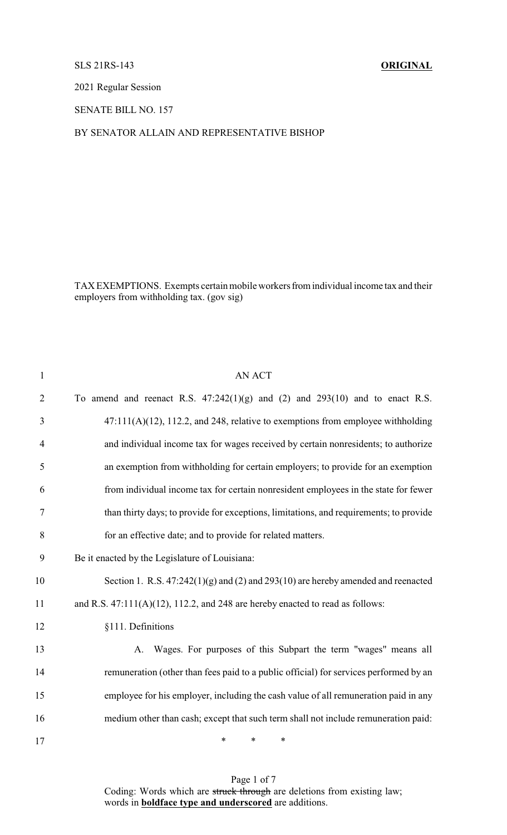## SLS 21RS-143 **ORIGINAL**

2021 Regular Session

SENATE BILL NO. 157

BY SENATOR ALLAIN AND REPRESENTATIVE BISHOP

TAX EXEMPTIONS. Exempts certain mobile workers from individual income tax and their employers from withholding tax. (gov sig)

| $\mathbf{1}$   | <b>AN ACT</b>                                                                          |
|----------------|----------------------------------------------------------------------------------------|
| $\overline{2}$ | To amend and reenact R.S. $47:242(1)(g)$ and $(2)$ and $293(10)$ and to enact R.S.     |
| 3              | $47:111(A)(12)$ , 112.2, and 248, relative to exemptions from employee withholding     |
| $\overline{4}$ | and individual income tax for wages received by certain nonresidents; to authorize     |
| 5              | an exemption from withholding for certain employers; to provide for an exemption       |
| 6              | from individual income tax for certain nonresident employees in the state for fewer    |
| 7              | than thirty days; to provide for exceptions, limitations, and requirements; to provide |
| 8              | for an effective date; and to provide for related matters.                             |
| 9              | Be it enacted by the Legislature of Louisiana:                                         |
| 10             | Section 1. R.S. $47:242(1)(g)$ and (2) and 293(10) are hereby amended and reenacted    |
| 11             | and R.S. $47:111(A)(12)$ , 112.2, and 248 are hereby enacted to read as follows:       |
| 12             | §111. Definitions                                                                      |
| 13             | A. Wages. For purposes of this Subpart the term "wages" means all                      |
| 14             | remuneration (other than fees paid to a public official) for services performed by an  |
| 15             | employee for his employer, including the cash value of all remuneration paid in any    |
| 16             | medium other than cash; except that such term shall not include remuneration paid:     |
| 17             | $\ast$<br>*<br>∗                                                                       |

Page 1 of 7 Coding: Words which are struck through are deletions from existing law; words in **boldface type and underscored** are additions.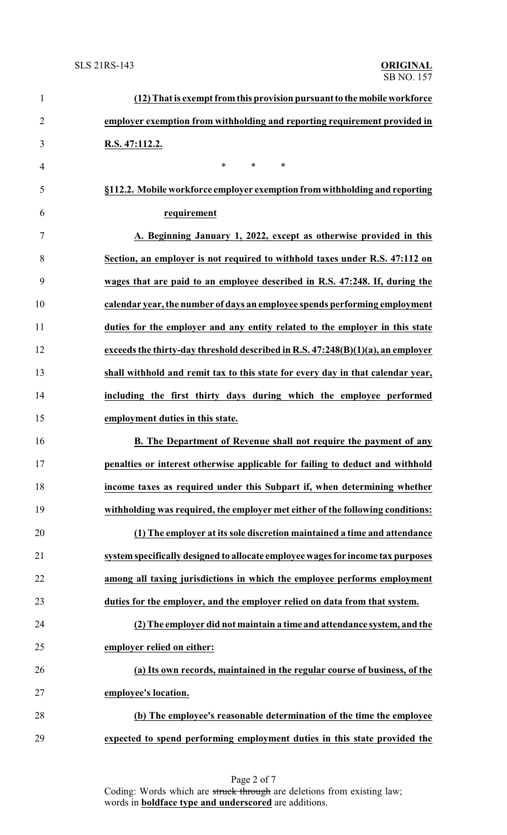| $\mathbf{1}$   | (12) That is exempt from this provision pursuant to the mobile workforce        |
|----------------|---------------------------------------------------------------------------------|
| $\overline{2}$ | employer exemption from withholding and reporting requirement provided in       |
| 3              | R.S. 47:112.2.                                                                  |
| $\overline{4}$ | $\ast$<br>$\ast$<br>$\ast$                                                      |
| 5              | §112.2. Mobile workforce employer exemption from withholding and reporting      |
| 6              | requirement                                                                     |
| $\tau$         | A. Beginning January 1, 2022, except as otherwise provided in this              |
| 8              | Section, an employer is not required to withhold taxes under R.S. 47:112 on     |
| 9              | wages that are paid to an employee described in R.S. 47:248. If, during the     |
| 10             | calendar year, the number of days an employee spends performing employment      |
| 11             | duties for the employer and any entity related to the employer in this state    |
| 12             | exceeds the thirty-day threshold described in R.S. 47:248(B)(1)(a), an employer |
| 13             | shall withhold and remit tax to this state for every day in that calendar year, |
| 14             | including the first thirty days during which the employee performed             |
| 15             | employment duties in this state.                                                |
| 16             | B. The Department of Revenue shall not require the payment of any               |
| 17             | penalties or interest otherwise applicable for failing to deduct and withhold   |
| 18             | income taxes as required under this Subpart if, when determining whether        |
| 19             | withholding was required, the employer met either of the following conditions:  |
| 20             | (1) The employer at its sole discretion maintained a time and attendance        |
| 21             | system specifically designed to allocate employee wages for income tax purposes |
| 22             | among all taxing jurisdictions in which the employee performs employment        |
| 23             | duties for the employer, and the employer relied on data from that system.      |
| 24             | (2) The employer did not maintain a time and attendance system, and the         |
| 25             | employer relied on either:                                                      |
| 26             | (a) Its own records, maintained in the regular course of business, of the       |
| 27             | employee's location.                                                            |
| 28             | (b) The employee's reasonable determination of the time the employee            |
| 29             | expected to spend performing employment duties in this state provided the       |

Page 2 of 7 Coding: Words which are struck through are deletions from existing law; words in **boldface type and underscored** are additions.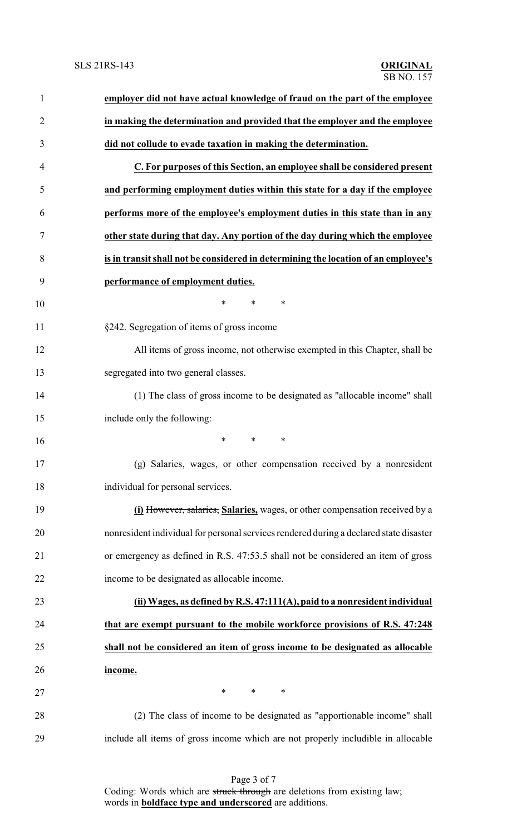| $\mathbf{1}$   | employer did not have actual knowledge of fraud on the part of the employee            |
|----------------|----------------------------------------------------------------------------------------|
| $\overline{2}$ | in making the determination and provided that the employer and the employee            |
| 3              | did not collude to evade taxation in making the determination.                         |
| 4              | C. For purposes of this Section, an employee shall be considered present               |
| 5              | and performing employment duties within this state for a day if the employee           |
| 6              | performs more of the employee's employment duties in this state than in any            |
| 7              | other state during that day. Any portion of the day during which the employee          |
| 8              | is in transit shall not be considered in determining the location of an employee's     |
| 9              | performance of employment duties.                                                      |
| 10             | $\ast$<br>$\ast$<br>∗                                                                  |
| 11             | §242. Segregation of items of gross income                                             |
| 12             | All items of gross income, not otherwise exempted in this Chapter, shall be            |
| 13             | segregated into two general classes.                                                   |
| 14             | (1) The class of gross income to be designated as "allocable income" shall             |
| 15             | include only the following:                                                            |
| 16             | $\ast$<br>*<br>∗                                                                       |
| 17             | (g) Salaries, wages, or other compensation received by a nonresident                   |
| 18             | individual for personal services.                                                      |
| 19             | (i) However, salaries, Salaries, wages, or other compensation received by a            |
| 20             | nonresident individual for personal services rendered during a declared state disaster |
| 21             | or emergency as defined in R.S. 47:53.5 shall not be considered an item of gross       |
| 22             | income to be designated as allocable income.                                           |
| 23             | (ii) Wages, as defined by R.S. 47:111(A), paid to a nonresident individual             |
| 24             | that are exempt pursuant to the mobile workforce provisions of R.S. 47:248             |
| 25             | shall not be considered an item of gross income to be designated as allocable          |
| 26             | income.                                                                                |
| 27             | $\ast$<br>$\ast$<br>$\ast$                                                             |
| 28             | (2) The class of income to be designated as "apportionable income" shall               |
| 29             | include all items of gross income which are not properly includible in allocable       |
|                |                                                                                        |

Page 3 of 7 Coding: Words which are struck through are deletions from existing law; words in **boldface type and underscored** are additions.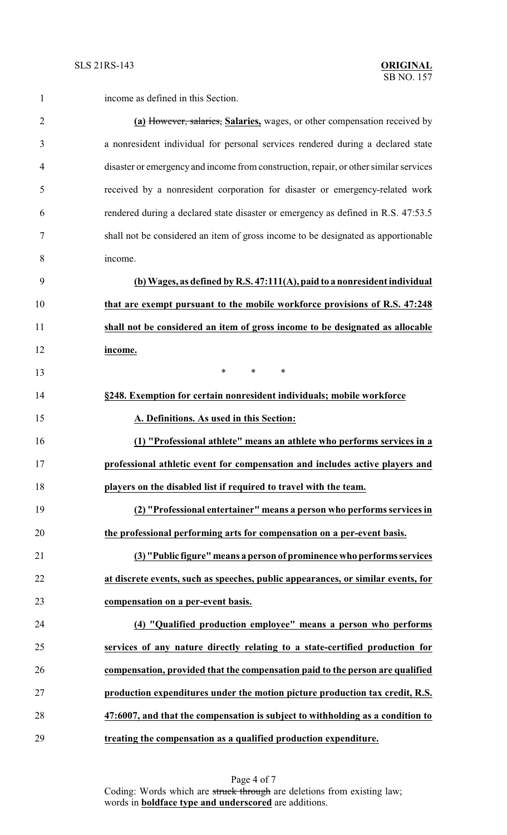income as defined in this Section.

| $\overline{2}$ | (a) However, salaries, Salaries, wages, or other compensation received by             |
|----------------|---------------------------------------------------------------------------------------|
| 3              | a nonresident individual for personal services rendered during a declared state       |
| $\overline{4}$ | disaster or emergency and income from construction, repair, or other similar services |
| 5              | received by a nonresident corporation for disaster or emergency-related work          |
| 6              | rendered during a declared state disaster or emergency as defined in R.S. 47:53.5     |
| 7              | shall not be considered an item of gross income to be designated as apportionable     |
| 8              | income.                                                                               |
| 9              | (b) Wages, as defined by R.S. 47:111(A), paid to a nonresident individual             |
| 10             | that are exempt pursuant to the mobile workforce provisions of R.S. 47:248            |
| 11             | shall not be considered an item of gross income to be designated as allocable         |
| 12             | income.                                                                               |
| 13             | $\ast$<br>$*$<br>$\ast$                                                               |
| 14             | §248. Exemption for certain nonresident individuals; mobile workforce                 |
| 15             | A. Definitions. As used in this Section:                                              |
| 16             | (1) "Professional athlete" means an athlete who performs services in a                |
| 17             | professional athletic event for compensation and includes active players and          |
| 18             | players on the disabled list if required to travel with the team.                     |
| 19             | (2) "Professional entertainer" means a person who performs services in                |
| 20             | the professional performing arts for compensation on a per-event basis.               |
| 21             | (3) "Public figure" means a person of prominence who performs services                |
| 22             | at discrete events, such as speeches, public appearances, or similar events, for      |
| 23             | compensation on a per-event basis.                                                    |
| 24             | (4) "Qualified production employee" means a person who performs                       |
| 25             | services of any nature directly relating to a state-certified production for          |
| 26             | compensation, provided that the compensation paid to the person are qualified         |
| 27             | production expenditures under the motion picture production tax credit, R.S.          |
| 28             | 47:6007, and that the compensation is subject to withholding as a condition to        |
| 29             | treating the compensation as a qualified production expenditure.                      |

Page 4 of 7 Coding: Words which are struck through are deletions from existing law; words in **boldface type and underscored** are additions.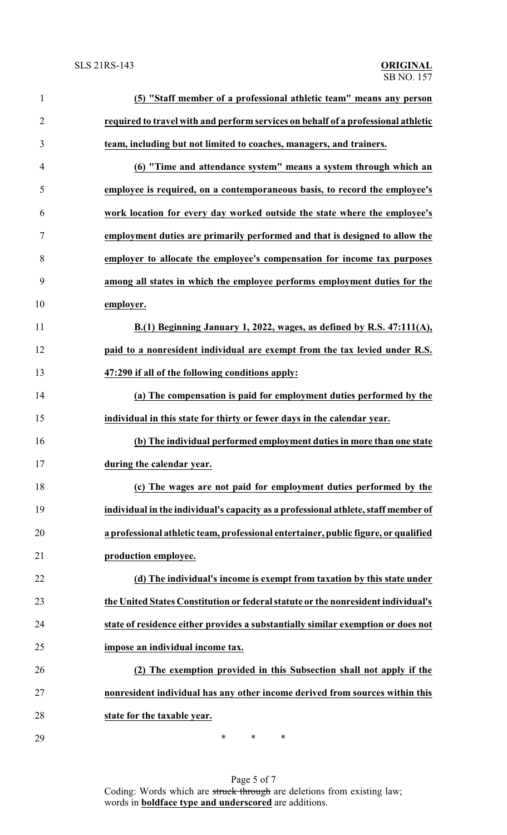| $\mathbf{1}$   | (5) "Staff member of a professional athletic team" means any person                 |
|----------------|-------------------------------------------------------------------------------------|
| $\overline{2}$ | required to travel with and perform services on behalf of a professional athletic   |
| 3              | team, including but not limited to coaches, managers, and trainers.                 |
| $\overline{4}$ | (6) "Time and attendance system" means a system through which an                    |
| 5              | employee is required, on a contemporaneous basis, to record the employee's          |
| 6              | work location for every day worked outside the state where the employee's           |
| $\tau$         | employment duties are primarily performed and that is designed to allow the         |
| 8              | employer to allocate the employee's compensation for income tax purposes            |
| 9              | among all states in which the employee performs employment duties for the           |
| 10             | employer.                                                                           |
| 11             | B.(1) Beginning January 1, 2022, wages, as defined by R.S. 47:111(A),               |
| 12             | paid to a nonresident individual are exempt from the tax levied under R.S.          |
| 13             | 47:290 if all of the following conditions apply:                                    |
| 14             | (a) The compensation is paid for employment duties performed by the                 |
| 15             | individual in this state for thirty or fewer days in the calendar year.             |
| 16             | (b) The individual performed employment duties in more than one state               |
| 17             | during the calendar year.                                                           |
| 18             | (c) The wages are not paid for employment duties performed by the                   |
| 19             | individual in the individual's capacity as a professional athlete, staff member of  |
| 20             | a professional athletic team, professional entertainer, public figure, or qualified |
| 21             | production employee.                                                                |
| 22             | (d) The individual's income is exempt from taxation by this state under             |
| 23             | the United States Constitution or federal statute or the nonresident individual's   |
| 24             | state of residence either provides a substantially similar exemption or does not    |
| 25             | impose an individual income tax.                                                    |
| 26             | (2) The exemption provided in this Subsection shall not apply if the                |
| 27             | nonresident individual has any other income derived from sources within this        |
| 28             | state for the taxable year.                                                         |
| 29             | $\ast$<br>∗<br>∗                                                                    |

Page 5 of 7 Coding: Words which are struck through are deletions from existing law; words in **boldface type and underscored** are additions.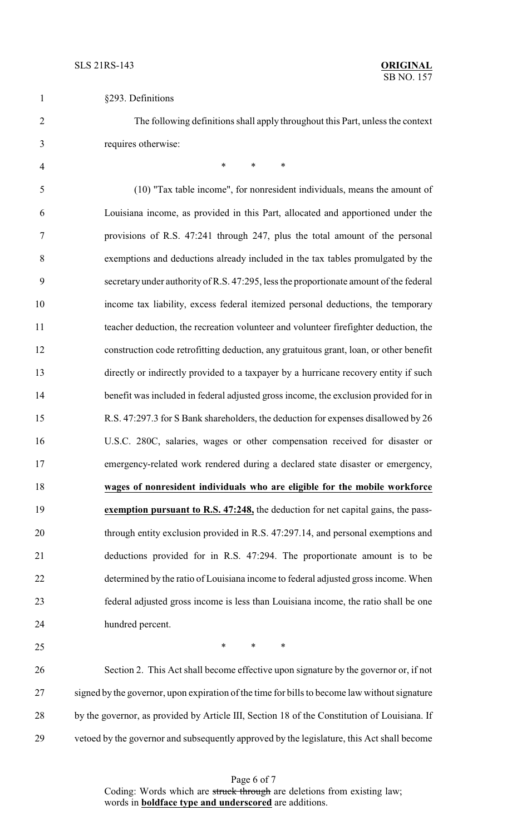| §293. Definitions |  |
|-------------------|--|
|-------------------|--|

 The following definitions shall apply throughout this Part, unless the context requires otherwise:

4 \* \* \* \* (10) "Tax table income", for nonresident individuals, means the amount of Louisiana income, as provided in this Part, allocated and apportioned under the provisions of R.S. 47:241 through 247, plus the total amount of the personal exemptions and deductions already included in the tax tables promulgated by the secretary under authority of R.S. 47:295, less the proportionate amount of the federal income tax liability, excess federal itemized personal deductions, the temporary teacher deduction, the recreation volunteer and volunteer firefighter deduction, the construction code retrofitting deduction, any gratuitous grant, loan, or other benefit directly or indirectly provided to a taxpayer by a hurricane recovery entity if such benefit was included in federal adjusted gross income, the exclusion provided for in R.S. 47:297.3 for S Bank shareholders, the deduction for expenses disallowed by 26 U.S.C. 280C, salaries, wages or other compensation received for disaster or emergency-related work rendered during a declared state disaster or emergency, **wages of nonresident individuals who are eligible for the mobile workforce exemption pursuant to R.S. 47:248,** the deduction for net capital gains, the pass- through entity exclusion provided in R.S. 47:297.14, and personal exemptions and deductions provided for in R.S. 47:294. The proportionate amount is to be determined by the ratio of Louisiana income to federal adjusted gross income. When federal adjusted gross income is less than Louisiana income, the ratio shall be one hundred percent.

 $*$  \* \* \*

 Section 2. This Act shall become effective upon signature by the governor or, if not 27 signed by the governor, upon expiration of the time for bills to become law without signature 28 by the governor, as provided by Article III, Section 18 of the Constitution of Louisiana. If vetoed by the governor and subsequently approved by the legislature, this Act shall become

> Page 6 of 7 Coding: Words which are struck through are deletions from existing law; words in **boldface type and underscored** are additions.